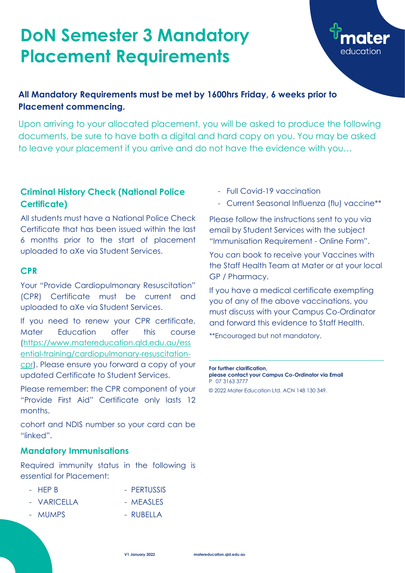#### **Criminal History Check (National Police Certificate)**

All students must have a National Police Check Certificate that has been issued within the last 6 months prior to the start of placement uploaded to aXe via Student Services.

#### **CPR**

Your "Provide Cardiopulmonary Resuscitation" (CPR) Certificate must be current and uploaded to aXe via Student Services.

If you need to renew your CPR certificate, Mater Education offer this course [\(https://www.matereducation.qld.edu.au/ess](https://www.matereducation.qld.edu.au/essential-training/cardiopulmonary-resuscitation-cpr) [ential-training/cardiopulmonary-resuscitation](https://www.matereducation.qld.edu.au/essential-training/cardiopulmonary-resuscitation-cpr)[cpr\)](https://www.matereducation.qld.edu.au/essential-training/cardiopulmonary-resuscitation-cpr). Please ensure you forward a copy of your updated Certificate to Student Services.

Please remember: the CPR component of your "Provide First Aid" Certificate only lasts 12 months.

cohort and NDIS number so your card can be

"linked".

#### **Mandatory Immunisations**

Required immunity status in the following is essential for Placement:

- HEP B PERTUSSIS
- VARICELLA MEASLES
- 
- 
- MUMPS RUBELLA
- Full Covid-19 vaccination
- Current Seasonal Influenza (flu) vaccine\*\*

Please follow the instructions sent to you via email by Student Services with the subject "Immunisation Requirement - Online Form".

You can book to receive your Vaccines with the Staff Health Team at Mater or at your local GP / Pharmacy.

If you have a medical certificate exempting you of any of the above vaccinations, you must discuss with your Campus Co-Ordinator and forward this evidence to Staff Health.

\*\*Encouraged but not mandatory.

## **DoN Semester 3 Mandatory Placement Requirements**

### **All Mandatory Requirements must be met by 1600hrs Friday, 6 weeks prior to Placement commencing.**

Upon arriving to your allocated placement, you will be asked to produce the following documents, be sure to have both a digital and hard copy on you. You may be asked to leave your placement if you arrive and do not have the evidence with you…

> **For further clarification, please contact your Campus Co-Ordinator via Email** P 07 3163 3777

© 2022 Mater Education Ltd. ACN 148 130 349.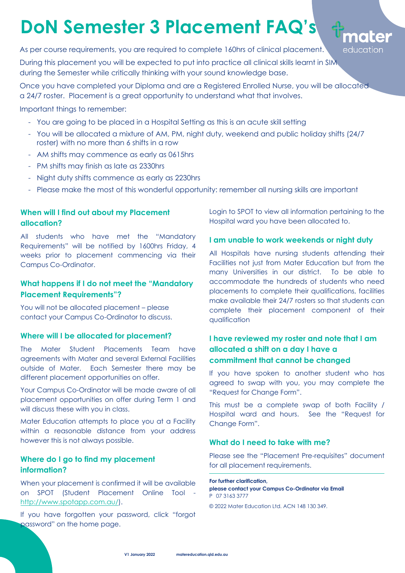#### **When will I find out about my Placement allocation?**

All students who have met the "Mandatory Requirements" will be notified by 1600hrs Friday, 4 weeks prior to placement commencing via their Campus Co-Ordinator.

#### **What happens if I do not meet the "Mandatory Placement Requirements"?**

You will not be allocated placement – please contact your Campus Co-Ordinator to discuss.

#### **Where will I be allocated for placement?**

The Mater Student Placements Team have agreements with Mater and several External Facilities outside of Mater. Each Semester there may be different placement opportunities on offer.

Your Campus Co-Ordinator will be made aware of all placement opportunities on offer during Term 1 and will discuss these with you in class.

Mater Education attempts to place you at a Facility within a reasonable distance from your address however this is not always possible.

#### **Where do I go to find my placement information?**

When your placement is confirmed it will be available on SPOT (Student Placement Online Tool [http://www.spotapp.com.au/\)](http://www.spotapp.com.au/).

If you have forgotten your password, click "forgot password" on the home page.

Login to SPOT to view all information pertaining to the Hospital ward you have been allocated to.

#### **I am unable to work weekends or night duty**

All Hospitals have nursing students attending their Facilities not just from Mater Education but from the many Universities in our district. To be able to accommodate the hundreds of students who need placements to complete their qualifications, facilities make available their 24/7 rosters so that students can complete their placement component of their qualification

#### **I have reviewed my roster and note that I am allocated a shift on a day I have a commitment that cannot be changed**

If you have spoken to another student who has agreed to swap with you, you may complete the "Request for Change Form".

This must be a complete swap of both Facility / Hospital ward and hours. See the "Request for Change Form".



#### **What do I need to take with me?**

Please see the "Placement Pre-requisites" document for all placement requirements.

**For further clarification, please contact your Campus Co-Ordinator via Email** P 07 3163 3777

© 2022 Mater Education Ltd. ACN 148 130 349.

During this placement you will be expected to put into practice all clinical skills learnt in SIM during the Semester while critically thinking with your sound knowledge base.

Once you have completed your Diploma and are a Registered Enrolled Nurse, you will be allocated a 24/7 roster. Placement is a great opportunity to understand what that involves.

Important things to remember:

- You are going to be placed in a Hospital Setting as this is an acute skill setting
- You will be allocated a mixture of AM, PM, night duty, weekend and public holiday shifts (24/7 roster) with no more than 6 shifts in a row
- AM shifts may commence as early as 0615hrs
- PM shifts may finish as late as 2330hrs
- Night duty shifts commence as early as 2230hrs
- Please make the most of this wonderful opportunity: remember all nursing skills are important

# **DoN Semester 3 Placement FAQ's**

As per course requirements, you are required to complete 160hrs of clinical placement.